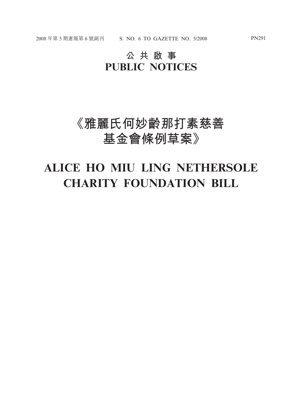# **公共啟事 PUBLIC NOTICES**

# **《雅麗氏何妙齡那打素慈善 基金會條例草案》**

# **ALICE HO MIU LING NETHERSOLE CHARITY FOUNDATION BILL**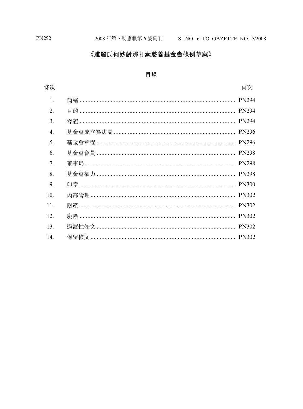# 《雅麗氏何妙齡那打素慈善基金會條例草案》

## 目錄

# 條次

| 1.  |                                            |              |
|-----|--------------------------------------------|--------------|
| 2.  | 目的 ……………………………………………………………………………………… PN294 |              |
| 3.  |                                            |              |
| 4.  |                                            | <b>PN296</b> |
| 5.  |                                            |              |
| 6.  |                                            |              |
| 7.  |                                            |              |
| 8.  |                                            |              |
| 9.  |                                            |              |
| 10. |                                            |              |
| 11. |                                            |              |
| 12. |                                            |              |
| 13. |                                            |              |
| 14. | 保留條文 …………………………………………………………………………… PN302   |              |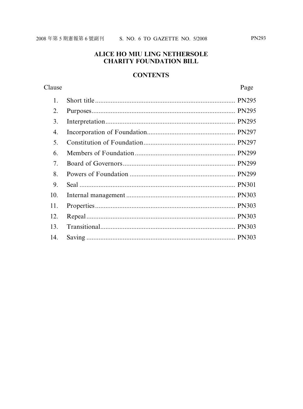#### **ALICE HO MIU LING NETHERSOLE CHARITY FOUNDATION BILL**

#### **CONTENTS**

#### Clause Page  $\mathbf{1}$ . 2.  $\overline{3}$ .  $\overline{4}$  $5<sub>1</sub>$ 6. 7. 8.  $\mathbf Q$  $10.$  $11.$ 12. 13.  $14<sub>1</sub>$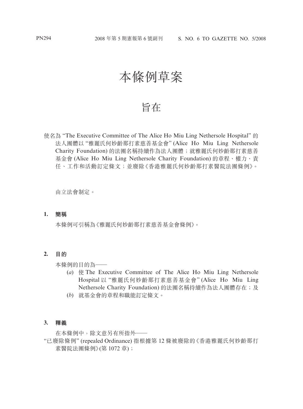# 本條例草案

# 旨在

使名為 "The Executive Committee of The Alice Ho Miu Ling Nethersole Hospital" 的 法人團體以 "雅麗氏何妙齡那打素慈善基金會" (Alice Ho Miu Ling Nethersole Charity Foundation) 的法團名稱持續作為法人團體;就雅麗氏何妙齡那打素慈善 基金會 (Alice Ho Miu Ling Nethersole Charity Foundation) 的章程、權力、責 任、工作和活動訂定條文;並廢除《香港雅麗氏何妙齡那打素醫院法團條例》。

由立法會制定。

#### **1. 簡稱**

本條例可引稱為《雅麗氏何妙齡那打素慈善基金會條例》。

#### **2. 目的**

本條例的目的為一

- (*a*) 使 The Executive Committee of The Alice Ho Miu Ling Nethersole Hospital 以 "雅麗氏何妙齡那打素慈善基金會" (Alice Ho Miu Ling Nethersole Charity Foundation) 的法團名稱持續作為法人團體存在;及
- (*b*) 就基金會的章程和職能訂定條文。

#### **3. 釋義**

在本條例中,除文意另有所指外——

"已廢除條例" (repealed Ordinance) 指根據第 12 條被廢除的《香港雅麗氏何妙齡那打 素醫院法團條例》(第1072章);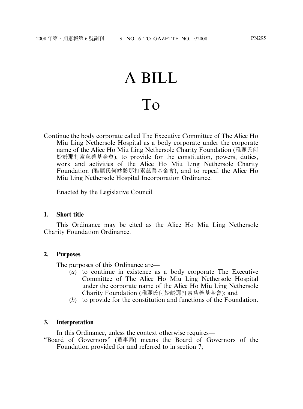# A BILL To

Continue the body corporate called The Executive Committee of The Alice Ho Miu Ling Nethersole Hospital as a body corporate under the corporate name of the Alice Ho Miu Ling Nethersole Charity Foundation (雅麗氏何 妙齡那打素慈善基金會), to provide for the constitution, powers, duties, work and activities of the Alice Ho Miu Ling Nethersole Charity Foundation (雅麗氏何妙齡那打素慈善基金會), and to repeal the Alice Ho Miu Ling Nethersole Hospital Incorporation Ordinance.

Enacted by the Legislative Council.

#### **1. Short title**

This Ordinance may be cited as the Alice Ho Miu Ling Nethersole Charity Foundation Ordinance.

#### **2. Purposes**

The purposes of this Ordinance are—

- (*a*) to continue in existence as a body corporate The Executive Committee of The Alice Ho Miu Ling Nethersole Hospital under the corporate name of the Alice Ho Miu Ling Nethersole Charity Foundation (雅麗氏何妙齡那打素慈善基金會); and
- (*b*) to provide for the constitution and functions of the Foundation.

#### **3. Interpretation**

In this Ordinance, unless the context otherwise requires—

"Board of Governors" (董事局) means the Board of Governors of the Foundation provided for and referred to in section 7;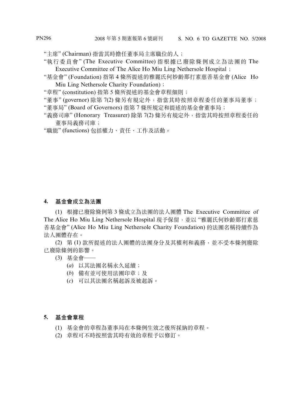"主席" (Chairman) 指當其時擔任董事局主席職位的人;

- "執行委員會" (The Executive Committee) 指根據已廢除條例成立為法團的 The Executive Committee of The Alice Ho Miu Ling Nethersole Hospital;
- "基金會" (Foundation) 指第 4 條所提述的雅麗氏何妙齡那打素慈善基金會 (Alice Ho Miu Ling Nethersole Charity Foundation);
- "章程" (constitution) 指第 5 條所提述的基金會章程細則;

"董事" (governor) 除第 7(2) 條另有規定外, 指當其時按照章程委任的董事局董事;

- "董事局" (Board of Governors) 指第 7 條所規定和提述的基金會董事局;
- "義務司庫" (Honorary Treasurer) 除第 7(2) 條另有規定外, 指當其時按照章程委任的 董事局義務司庫;
- "職能" (functions) 包括權力、責任、工作及活動。

#### **4. 基金會成立為法團**

(1) 根據已廢除條例第 3 條成立為法團的法人團體 The Executive Committee of The Alice Ho Miu Ling Nethersole Hospital 現予保留,並以"雅麗氏何妙齡那打素慈 善基金會" (Alice Ho Miu Ling Nethersole Charity Foundation) 的法團名稱持續作為 法人團體存在。

(2) 第 (1) 款所提述的法人團體的法團身分及其權利和義務,並不受本條例廢除 已廢除條例的影響。

- (3) 基金會——
	- (*a*) 以其法團名稱永久延續;
	- (*b*) 備有並可使用法團印章;及
	- (*c*) 可以其法團名稱起訴及被起訴。

## **5. 基金會章程**

(1) 基金會的章程為董事局在本條例生效之後所採納的章程。

(2) 章程可不時按照當其時有效的章程予以修訂。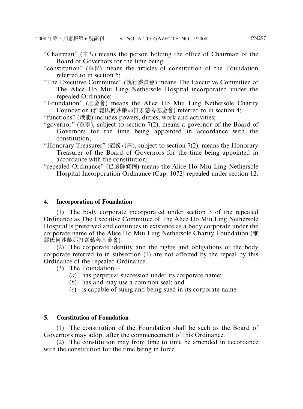- "Chairman" (主席) means the person holding the office of Chairman of the Board of Governors for the time being;
- "constitution" (章程) means the articles of constitution of the Foundation referred to in section 5;
- "The Executive Committee" (執行委員會) means The Executive Committee of The Alice Ho Miu Ling Nethersole Hospital incorporated under the repealed Ordinance;

"Foundation" (基金會) means the Alice Ho Miu Ling Nethersole Charity Foundation (雅麗氏何妙齡那打素慈善基金會) referred to in section 4;

"functions" (職能) includes powers, duties, work and activities;

- "governor" (董事), subject to section 7(2), means a governor of the Board of Governors for the time being appointed in accordance with the constitution;
- "Honorary Treasurer" (義務司庫), subject to section 7(2), means the Honorary Treasurer of the Board of Governors for the time being appointed in accordance with the constitution;
- "repealed Ordinance" (已廢除條例) means the Alice Ho Miu Ling Nethersole Hospital Incorporation Ordinance (Cap. 1072) repealed under section 12.

# **4. Incorporation of Foundation**

(1) The body corporate incorporated under section 3 of the repealed Ordinance as The Executive Committee of The Alice Ho Miu Ling Nethersole Hospital is preserved and continues in existence as a body corporate under the corporate name of the Alice Ho Miu Ling Nethersole Charity Foundation (雅 麗氏何妙齡那打素慈善基金會).

(2) The corporate identity and the rights and obligations of the body corporate referred to in subsection (1) are not affected by the repeal by this Ordinance of the repealed Ordinance.

- (3) The Foundation—
	- (*a*) has perpetual succession under its corporate name;
	- (*b*) has and may use a common seal; and
	- (*c*) is capable of suing and being sued in its corporate name.

# **5. Constitution of Foundation**

(1) The constitution of the Foundation shall be such as the Board of Governors may adopt after the commencement of this Ordinance.

(2) The constitution may from time to time be amended in accordance with the constitution for the time being in force.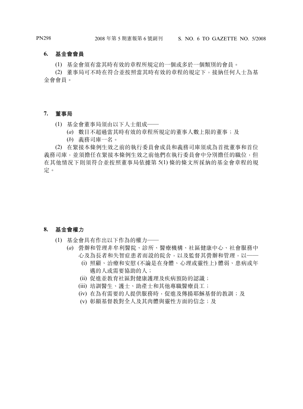#### **6. 基金會會員**

(1) 基金會須有當其時有效的章程所規定的一個或多於一個類別的會員。

(2) 董事局可不時在符合並按照當其時有效的章程的規定下,接納任何人士為基 金會會員。

#### **7. 董事局**

- (1) 基金會董事局須由以下人士組成——
	- (*a*) 數目不超過當其時有效的章程所規定的董事人數上限的董事;及
	- (*b*) 義務司庫一名。

(2) 在緊接本條例生效之前的執行委員會成員和義務司庫須成為首批董事和首位 義務司庫,並須擔任在緊接本條例生效之前他們在執行委員會中分別擔任的職位,但 在其他情況下則須符合並按照董事局依據第 5(1) 條的條文所採納的基金會章程的規 定。

#### **8. 基金會權力**

- (1) 基金會具有作出以下作為的權力——
	- (*a*) 營辦和管理非牟利醫院、診所、醫療機構、社區健康中心、社會服務中 心及為長者和失智症患者而設的院舍,以及監督其營辦和管理,以——
		- (i) 照顧、治療和安慰 (不論是在身體、心理或靈性上) 體弱、患病或年 邁的人或需要協助的人;
		- (ii) 促進並桝育社區對健康護理及疾病預防的認識;
		- (iii) 培訓醫生、護士、助產士和其他專職醫療員工;
		- (iv) 在為有需要的人提供服務時,促進及傳揚耶穌基督的桝訓;及
		- (v) 彰顯基督桝對全人及其肉體與靈性方面的信念;及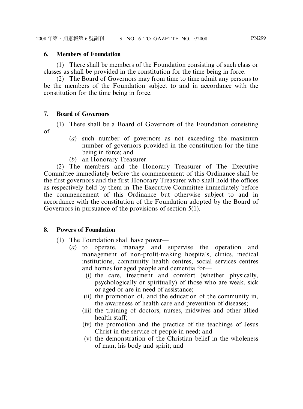## **6. Members of Foundation**

(1) There shall be members of the Foundation consisting of such class or classes as shall be provided in the constitution for the time being in force.

(2) The Board of Governors may from time to time admit any persons to be the members of the Foundation subject to and in accordance with the constitution for the time being in force.

# **7. Board of Governors**

(1) There shall be a Board of Governors of the Foundation consisting of—

- (*a*) such number of governors as not exceeding the maximum number of governors provided in the constitution for the time being in force; and
- (*b*) an Honorary Treasurer.

(2) The members and the Honorary Treasurer of The Executive Committee immediately before the commencement of this Ordinance shall be the first governors and the first Honorary Treasurer who shall hold the offices as respectively held by them in The Executive Committee immediately before the commencement of this Ordinance but otherwise subject to and in accordance with the constitution of the Foundation adopted by the Board of Governors in pursuance of the provisions of section 5(1).

## **8. Powers of Foundation**

- (1) The Foundation shall have power—
	- (*a*) to operate, manage and supervise the operation and management of non-profit-making hospitals, clinics, medical institutions, community health centres, social services centres and homes for aged people and dementia for—
		- (i) the care, treatment and comfort (whether physically, psychologically or spiritually) of those who are weak, sick or aged or are in need of assistance;
		- (ii) the promotion of, and the education of the community in, the awareness of health care and prevention of diseases;
		- (iii) the training of doctors, nurses, midwives and other allied health staff;
		- (iv) the promotion and the practice of the teachings of Jesus Christ in the service of people in need; and
		- (v) the demonstration of the Christian belief in the wholeness of man, his body and spirit; and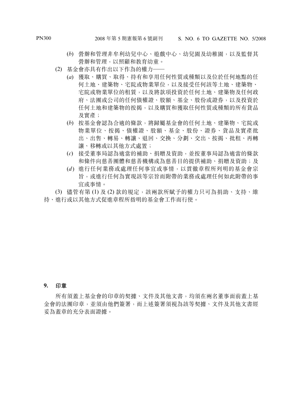- (*b*) 營辦和管理非牟利幼兒中心、遊戲中心、幼兒園及幼稚園,以及監督其 營辦和管理,以照顧和桝育幼童。
- (2) 基金會亦具有作出以下作為的權力——
	- (*a*) 獲取、購買、取得、持有和享用任何性質或種類以及位於任何地點的任 何土地、建築物、宅院或物業單位,以及接受任何該等土地、建築物、 宅院或物業單位的租賃,以及將款項投資於任何土地、建築物及任何政 府、法團或公司的任何債權證、股額、基金、股份或證券,以及投資於 任何土地和建築物的按揭,以及購買和獲取任何性質或種類的所有貨品 及實產;
	- (*b*) 按基金會認為合適的條款,將歸屬基金會的任何土地、建築物、宅院或 物業單位、按揭、債權證、股額、基金、股份、證券、貨品及實產批 出、出售、轉易、轉讓、退回、交換、分劃、交出、按揭、批租、再轉 讓、移轉或以其他方式處置;
	- (*c*) 接受董事局認為適當的補助、捐贈及資助,並按董事局認為適當的條款 和條件向慈善團體和慈善機構或為慈善目的提供補助、捐贈及資助;及
	- (*d* ) 進行任何業務或處理任何事宜或事情,以貫徹章程所列明的基金會宗 旨,或進行任何為實現該等宗旨而附帶的業務或處理任何如此附帶的事 宜或事情。

(3) 儘管有第 (1) 及 (2) 款的規定,該兩款所賦予的權力只可為捐助、支持、維 持、進行或以其他方式促進章程所指明的基金會工作而行使。

#### **9. 印章**

所有須蓋上基金會的印章的契據、文件及其他文書,均須在兩名董事面前蓋上基 金會的法團印章,並須由他們簽署,而上述簽署須視為該等契據、文件及其他文書經 妥為蓋章的充分表面證據。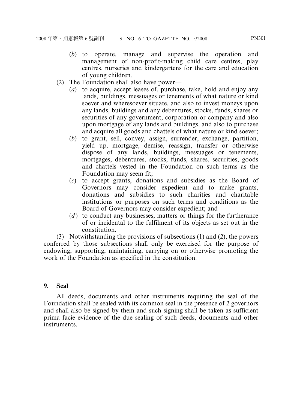- (*b*) to operate, manage and supervise the operation and management of non-profit-making child care centres, play centres, nurseries and kindergartens for the care and education of young children.
- (2) The Foundation shall also have power—
	- (*a*) to acquire, accept leases of, purchase, take, hold and enjoy any lands, buildings, messuages or tenements of what nature or kind soever and wheresoever situate, and also to invest moneys upon any lands, buildings and any debentures, stocks, funds, shares or securities of any government, corporation or company and also upon mortgage of any lands and buildings, and also to purchase and acquire all goods and chattels of what nature or kind soever;
	- (*b*) to grant, sell, convey, assign, surrender, exchange, partition, yield up, mortgage, demise, reassign, transfer or otherwise dispose of any lands, buildings, messuages or tenements, mortgages, debentures, stocks, funds, shares, securities, goods and chattels vested in the Foundation on such terms as the Foundation may seem fit;
	- (*c*) to accept grants, donations and subsidies as the Board of Governors may consider expedient and to make grants, donations and subsidies to such charities and charitable institutions or purposes on such terms and conditions as the Board of Governors may consider expedient; and
	- (*d*) to conduct any businesses, matters or things for the furtherance of or incidental to the fulfilment of its objects as set out in the constitution.

(3) Notwithstanding the provisions of subsections (1) and (2), the powers conferred by those subsections shall only be exercised for the purpose of endowing, supporting, maintaining, carrying on or otherwise promoting the work of the Foundation as specified in the constitution.

# **9. Seal**

All deeds, documents and other instruments requiring the seal of the Foundation shall be sealed with its common seal in the presence of 2 governors and shall also be signed by them and such signing shall be taken as sufficient prima facie evidence of the due sealing of such deeds, documents and other instruments.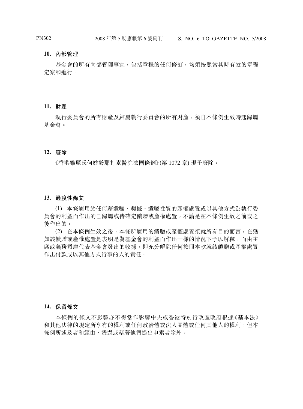#### **10. 內部管理**

基金會的所有內部管理事宜,包括章程的任何修訂,均須按照當其時有效的章程 定案和進行。

#### **11. 財產**

執行委員會的所有財產及歸屬執行委員會的所有財產,須自本條例生效時起歸屬 基金會。

#### **12. 廢除**

《香港雅麗氏何妙齡那打素醫院法團條例》(第 1072 章) 現予廢除。

#### **13. 過渡性條文**

(1) 本條適用於任何藉遺囑、契據、遺囑性質的產權處置或以其他方式為執行委 員會的利益而作出的已歸屬或待確定饋贈或產權處置,不論是在本條例生效之前或之 後作出的。

(2) 在本條例生效之後,本條所適用的饋贈或產權處置須就所有目的而言,在猶 如該饋贈或產權處置是表明是為基金會的利益而作出一樣的情況下予以解釋,而由主 席或義務司庫代表基金會發出的收據,即充分解除任何按照本款就該饋贈或產權處置 作出付款或以其他方式行事的人的責任。

#### **14. 保留條文**

本條例的條文不影響亦不得當作影響中央或香港特別行政區政府根據《基本法》 和其他法律的規定所享有的權利或任何政治體或法人團體或任何其他人的權利,但本 條例所述及者和經由、透過或藉著他們提出申索者除外。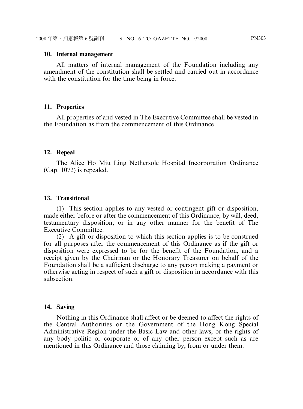#### **10. Internal management**

All matters of internal management of the Foundation including any amendment of the constitution shall be settled and carried out in accordance with the constitution for the time being in force.

#### **11. Properties**

All properties of and vested in The Executive Committee shall be vested in the Foundation as from the commencement of this Ordinance.

#### **12. Repeal**

The Alice Ho Miu Ling Nethersole Hospital Incorporation Ordinance (Cap. 1072) is repealed.

#### **13. Transitional**

(1) This section applies to any vested or contingent gift or disposition, made either before or after the commencement of this Ordinance, by will, deed, testamentary disposition, or in any other manner for the benefit of The Executive Committee.

(2) A gift or disposition to which this section applies is to be construed for all purposes after the commencement of this Ordinance as if the gift or disposition were expressed to be for the benefit of the Foundation, and a receipt given by the Chairman or the Honorary Treasurer on behalf of the Foundation shall be a sufficient discharge to any person making a payment or otherwise acting in respect of such a gift or disposition in accordance with this subsection.

## **14. Saving**

Nothing in this Ordinance shall affect or be deemed to affect the rights of the Central Authorities or the Government of the Hong Kong Special Administrative Region under the Basic Law and other laws, or the rights of any body politic or corporate or of any other person except such as are mentioned in this Ordinance and those claiming by, from or under them.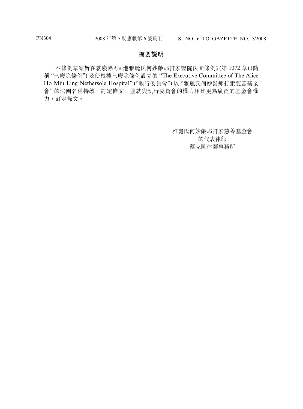#### **摘要說明**

本條例草案旨在就廢除《香港雅麗氏何妙齡那打素醫院法團條例》(第 1072 章) (簡 稱 "已廢除條例") 及使根據已廢除條例設立的 "The Executive Committee of The Alice Ho Miu Ling Nethersole Hospital" ("執行委員會") 以 "雅麗氏何妙齡那打素慈善基金 會"的法團名稱持續,訂定條文,並就與執行委員會的權力相比更為廣泛的基金會權 力,訂定條文。

> 雅麗氏何妙齡那打素慈善基金會 的代表律師 蔡克剛律師事務所